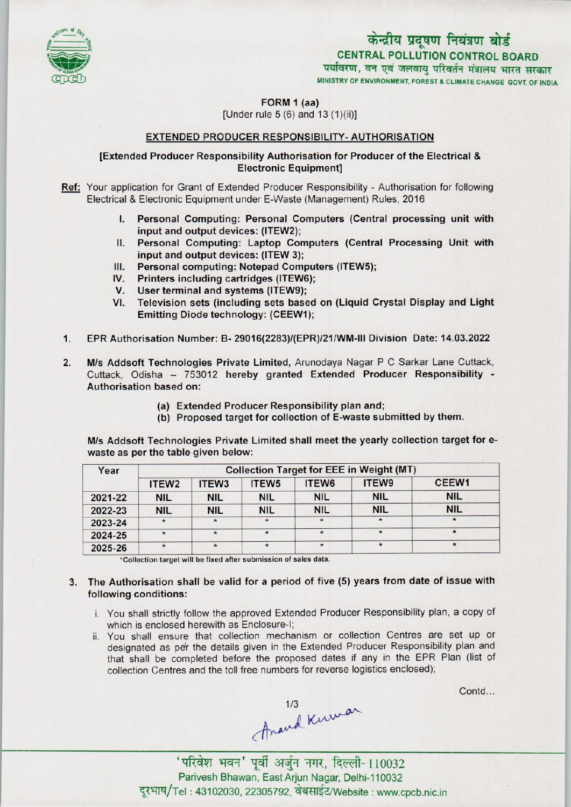

# केन्द्रीय प्रदूषण नियंत्रण बोर्ड CENTRAL POLLUTION CONTROL BOARD<br>पर्यावरण, वन एवं जलवायु परिवर्तन मंत्रालय भारत सरकार

MINISTRY OF ENVIRONMENT, FOREST & CLIMATE CHANGE GOVT. OF INDIA

FORM 1 (aa)

 $[Under rule 5 (6) and 13 (1)(ii)]$ 

#### EXTENDED PRODUCER RESPONSIBILITY-AUTHORISATION

#### [Extended Producer Responsibility Authorisation for Producer ofthe Electrical & Electronic Equipment]

Ref: Your application for Grant of Extended Producer Responsibility - Authorisation for following' Electrical & Electronic Equipment under E-Waste (Management) Rules, 2016

- I. Personal Computing: Personal Computers (Central processing unit with input and output devices: (ITEW2);
- II.Personal Computing: Laptop Computers (Central Processing Unit with input and output devices: (ITEW 3);
- III. Personal computing: Notepad Computers (ITEW5);
- III. Personal computing: Notepad Computing Printers including cartridges (ITEW6); V. Printers including cartridges (ITEW)<br>V. User terminal and systems (ITEW9);<br>U. Television sets (including sets bas
- 
- V. User terminal and systems (ITEW9);<br>VI. Television sets (including sets based on (Liquid Crystal Display and Light Emitting Diode technology: (CEEW1);
- 1.EPR Authorisation Number: B-29016(2283)/(EPR)/21/WM-lll Division Date: 14.03.2022
- 2. M/s Addsoft Technologies Private Limited, Arunodaya Nagar P C Sarkar Lane Cuttack, Cuttack, Odisha - 753012 hereby granted Extended Producer Responsibility -Authorisation based on:
	- (a)Extended Producer Responsibility plan and;
	- (b) Proposed target for collection of E-waste submitted by them.

M/s Addsoft Technologies Private Limited shall meet the yearly collection target for ewaste as per the table given below:

| Year    | <b>Collection Target for EEE in Weight (MT)</b> |                   |                   |                   |            |            |
|---------|-------------------------------------------------|-------------------|-------------------|-------------------|------------|------------|
|         | ITEW <sub>2</sub>                               | ITEW <sub>3</sub> | ITEW <sub>5</sub> | ITEW <sub>6</sub> | ITEW9      | CEEW1      |
| 2021-22 | <b>NIL</b>                                      | <b>NIL</b>        | <b>NIL</b>        | <b>NIL</b>        | <b>NIL</b> | <b>NIL</b> |
| 2022-23 | <b>NIL</b>                                      | <b>NIL</b>        | <b>NIL</b>        | <b>NIL</b>        | <b>NIL</b> | <b>NIL</b> |
| 2023-24 | $\star$                                         |                   |                   | $\star$           |            |            |
| 2024-25 | $\star$                                         | $\star$           |                   | $\star$           |            | $\star$    |
| 2025-26 |                                                 |                   |                   | $\star$           |            | $\star$    |

\*Collection target will be fixed after submission of sales data.

- 3. The Authorisation shall be valid for a period of five (5) years from date of issue with following conditions:
	- i. You shall strictly follow the approved Extended Producer Responsibility plan, a copy of which is enclosed herewith as Enclosure-!;
	- ii. You shall ensure that collection mechanism or collection Centres are set up or designated as per the details given in the Extended Producer Responsibility plan and that shall be completed before the proposed dates if any in the EPR Plan (list of collection Centres and the toll free numbers for reverse logistics enclosed);

Contd...

thand knowar

' परिवेश भवन' पूर्वी अर्जुन नगर, दिल्ली-110032 Parivesh Bhawan, East Arjun Nagar, Delhi-110032 दूरभाष/Tel: 43102030, 22305792, वेबसाईट/Website : www.cpcb.nic.in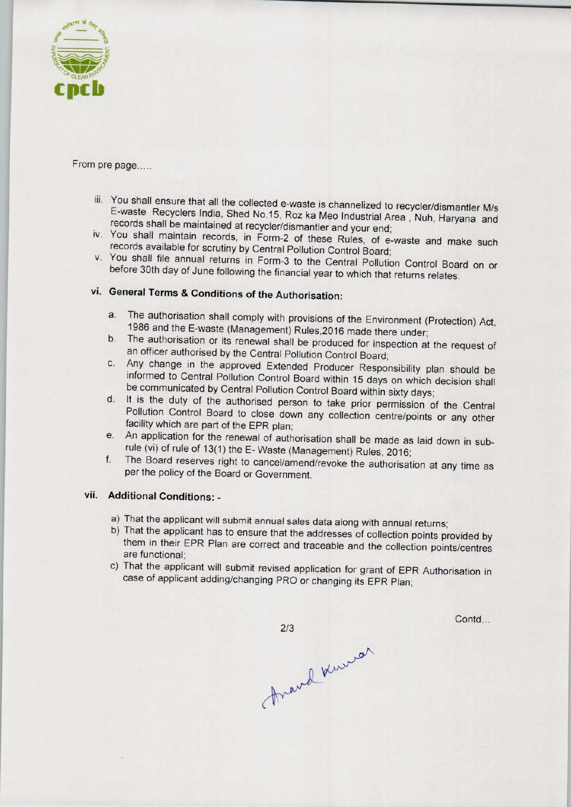

From pre page.....

- iii. You shall ensure that all the collected e-waste is channelized to recycler/dismantler M/s E-waste Recyclers India. Shed No.15, Roz ka Meo Industrial Area , Nuh, Haryana and records shall be maintained at recycler/dismantler and your end;
- iv. You shall maintain records, in Form-2 of these Rules, of e-waste and make such records available for scrutiny by Central Pollution Control Board;
- v. You shall file annual returns in Form-3 to the Central Pollution Control Board on or before 30th day of June following the financial year to which that returns relates.

## vi. General Terms & Conditions of the Authorisation:

- a. The authorisation shall comply with provisions of the Environment (Protection) Act, 1986 and the E-waste (Management) Rules,2016 made there under;
- b.The authorisation or its renewal shall be produced for inspection at the request of an officer authorised by the Central Pollution Control Board;
- c.Any change in the approved Extended Producer Responsibility plan should be informed to Central Pollution Control Board within 15 days on which decision shall be communicated by Central Pollution Control Board within sixty days;
- d. It is the duty of the authorised person to take prior permission of the Central Pollution Control Board to close down any collection centre/points or any other facility which are part of the EPR plan;
- e. An application for the renewal of authorisation shall be made as laid down in subrule (vi) of rule of 13(1) the E- Waste (Management) Rules, 2016;
- f. The Board reserves right to cancel/amend/revoke the authorisation at any time as per the policy of the Board or Government.

### vii. Additional Conditions: -

- a) That the applicant will submit annual sales data along with annual returns;
- b) That the applicant has to ensure that the addresses of collection points provided by them in their EPR Plan are correct and traceable and the collection points/centres are functional;
- c) That the applicant will submit revised application for grant of EPR Authorisation in case of applicant adding/changing PRO or changing its EPR Plan;

Contd...

 $2/3$ frand knews